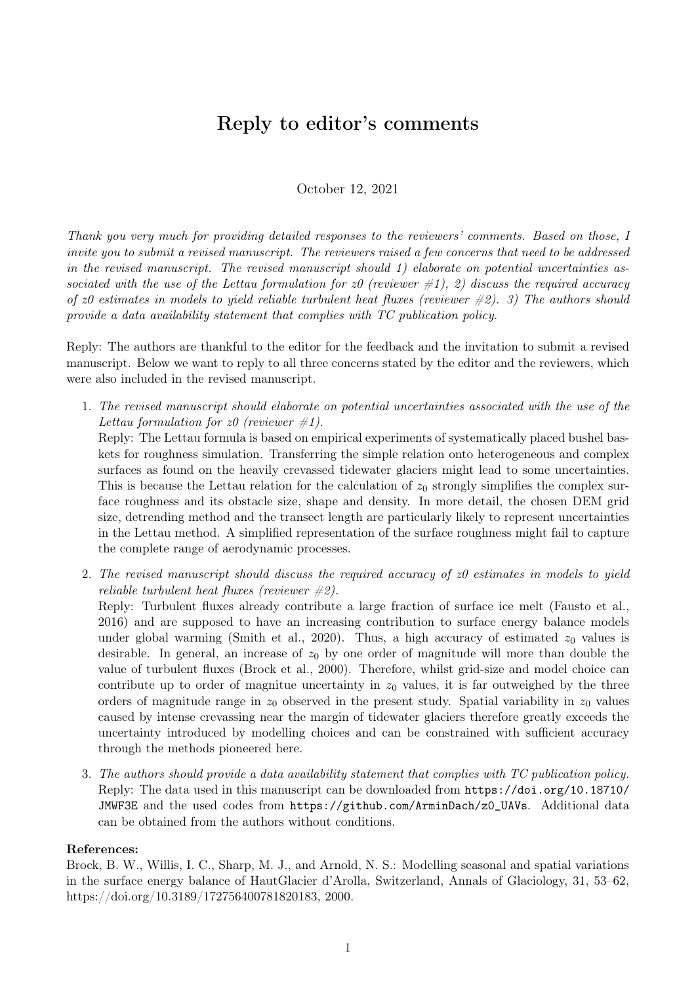# Reply to editor's comments

October 12, 2021

Thank you very much for providing detailed responses to the reviewers' comments. Based on those, I invite you to submit a revised manuscript. The reviewers raised a few concerns that need to be addressed in the revised manuscript. The revised manuscript should 1) elaborate on potential uncertainties associated with the use of the Lettau formulation for z0 (reviewer  $\#1$ ), 2) discuss the required accuracy of  $z_0$  estimates in models to yield reliable turbulent heat fluxes (reviewer  $\#2$ ). 3) The authors should provide a data availability statement that complies with TC publication policy.

Reply: The authors are thankful to the editor for the feedback and the invitation to submit a revised manuscript. Below we want to reply to all three concerns stated by the editor and the reviewers, which were also included in the revised manuscript.

1. The revised manuscript should elaborate on potential uncertainties associated with the use of the Lettau formulation for  $z\theta$  (reviewer  $\#1$ ).

Reply: The Lettau formula is based on empirical experiments of systematically placed bushel baskets for roughness simulation. Transferring the simple relation onto heterogeneous and complex surfaces as found on the heavily crevassed tidewater glaciers might lead to some uncertainties. This is because the Lettau relation for the calculation of  $z_0$  strongly simplifies the complex surface roughness and its obstacle size, shape and density. In more detail, the chosen DEM grid size, detrending method and the transect length are particularly likely to represent uncertainties in the Lettau method. A simplified representation of the surface roughness might fail to capture the complete range of aerodynamic processes.

2. The revised manuscript should discuss the required accuracy of z0 estimates in models to yield reliable turbulent heat fluxes (reviewer  $#2$ ).

Reply: Turbulent fluxes already contribute a large fraction of surface ice melt (Fausto et al., 2016) and are supposed to have an increasing contribution to surface energy balance models under global warming (Smith et al., 2020). Thus, a high accuracy of estimated  $z_0$  values is desirable. In general, an increase of  $z_0$  by one order of magnitude will more than double the value of turbulent fluxes (Brock et al., 2000). Therefore, whilst grid-size and model choice can contribute up to order of magnitue uncertainty in  $z_0$  values, it is far outweighed by the three orders of magnitude range in  $z_0$  observed in the present study. Spatial variability in  $z_0$  values caused by intense crevassing near the margin of tidewater glaciers therefore greatly exceeds the uncertainty introduced by modelling choices and can be constrained with sufficient accuracy through the methods pioneered here.

3. The authors should provide a data availability statement that complies with TC publication policy. Reply: The data used in this manuscript can be downloaded from https://doi.org/10.18710/ JMWF3E and the used codes from https://github.com/ArminDach/z0\_UAVs. Additional data can be obtained from the authors without conditions.

#### References:

Brock, B. W., Willis, I. C., Sharp, M. J., and Arnold, N. S.: Modelling seasonal and spatial variations in the surface energy balance of HautGlacier d'Arolla, Switzerland, Annals of Glaciology, 31, 53–62, https://doi.org/10.3189/172756400781820183, 2000.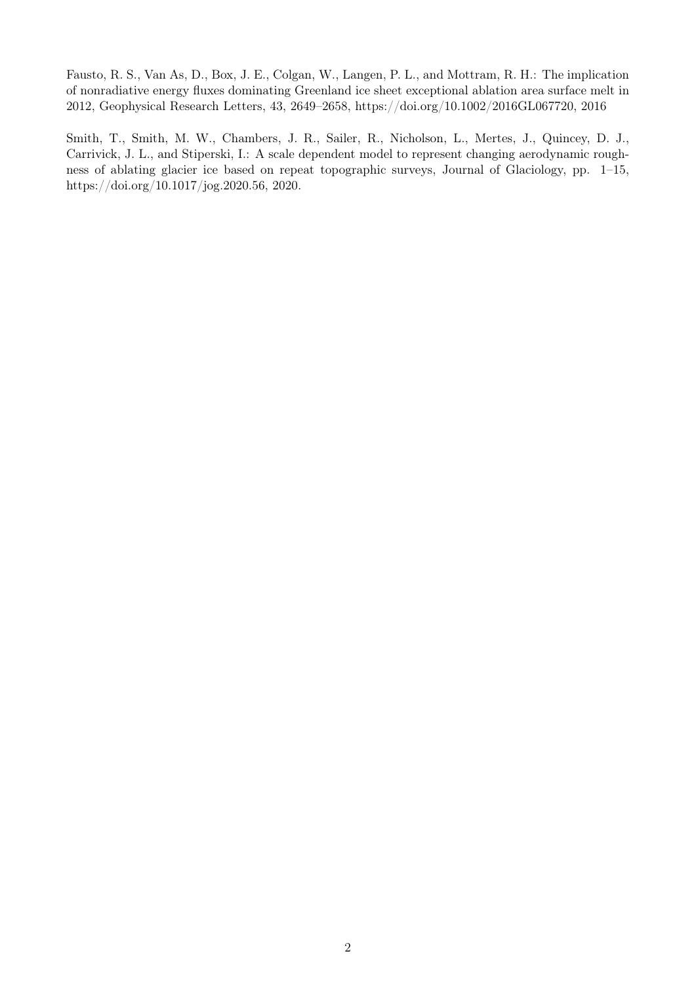Fausto, R. S., Van As, D., Box, J. E., Colgan, W., Langen, P. L., and Mottram, R. H.: The implication of nonradiative energy fluxes dominating Greenland ice sheet exceptional ablation area surface melt in 2012, Geophysical Research Letters, 43, 2649–2658, https://doi.org/10.1002/2016GL067720, 2016

Smith, T., Smith, M. W., Chambers, J. R., Sailer, R., Nicholson, L., Mertes, J., Quincey, D. J., Carrivick, J. L., and Stiperski, I.: A scale dependent model to represent changing aerodynamic roughness of ablating glacier ice based on repeat topographic surveys, Journal of Glaciology, pp. 1–15, https://doi.org/10.1017/jog.2020.56, 2020.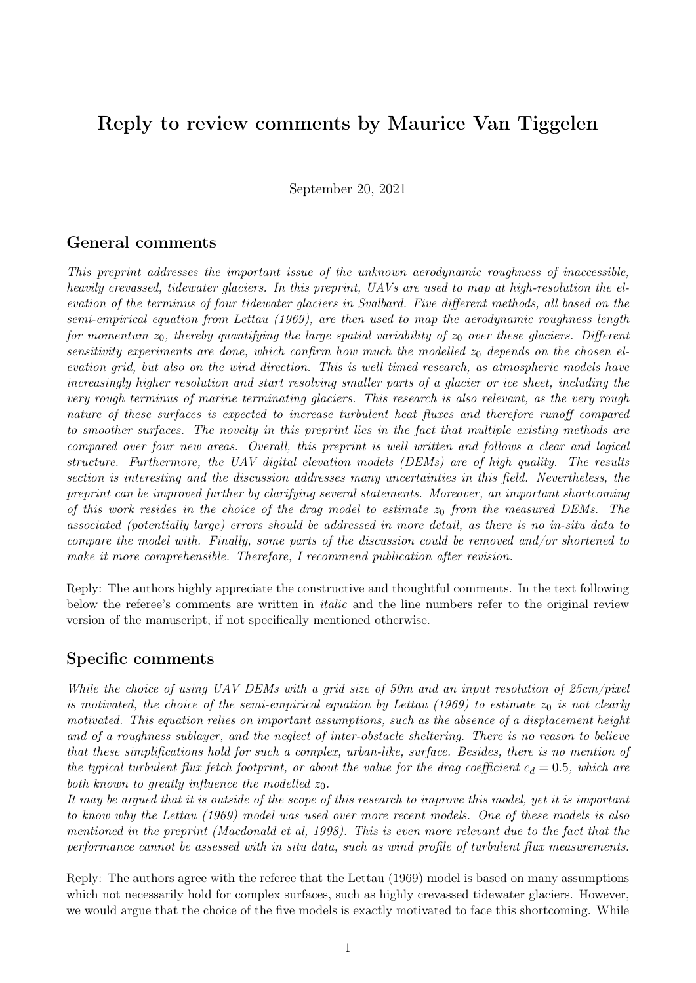# Reply to review comments by Maurice Van Tiggelen

September 20, 2021

## General comments

This preprint addresses the important issue of the unknown aerodynamic roughness of inaccessible, heavily crevassed, tidewater glaciers. In this preprint, UAVs are used to map at high-resolution the elevation of the terminus of four tidewater glaciers in Svalbard. Five different methods, all based on the semi-empirical equation from Lettau (1969), are then used to map the aerodynamic roughness length for momentum  $z_0$ , thereby quantifying the large spatial variability of  $z_0$  over these glaciers. Different sensitivity experiments are done, which confirm how much the modelled  $z_0$  depends on the chosen elevation grid, but also on the wind direction. This is well timed research, as atmospheric models have increasingly higher resolution and start resolving smaller parts of a glacier or ice sheet, including the very rough terminus of marine terminating glaciers. This research is also relevant, as the very rough nature of these surfaces is expected to increase turbulent heat fluxes and therefore runoff compared to smoother surfaces. The novelty in this preprint lies in the fact that multiple existing methods are compared over four new areas. Overall, this preprint is well written and follows a clear and logical structure. Furthermore, the UAV digital elevation models (DEMs) are of high quality. The results section is interesting and the discussion addresses many uncertainties in this field. Nevertheless, the preprint can be improved further by clarifying several statements. Moreover, an important shortcoming of this work resides in the choice of the drag model to estimate  $z_0$  from the measured DEMs. The associated (potentially large) errors should be addressed in more detail, as there is no in-situ data to compare the model with. Finally, some parts of the discussion could be removed and/or shortened to make it more comprehensible. Therefore, I recommend publication after revision.

Reply: The authors highly appreciate the constructive and thoughtful comments. In the text following below the referee's comments are written in *italic* and the line numbers refer to the original review version of the manuscript, if not specifically mentioned otherwise.

## Specific comments

While the choice of using UAV DEMs with a grid size of 50m and an input resolution of 25cm/pixel is motivated, the choice of the semi-empirical equation by Lettau (1969) to estimate  $z_0$  is not clearly motivated. This equation relies on important assumptions, such as the absence of a displacement height and of a roughness sublayer, and the neglect of inter-obstacle sheltering. There is no reason to believe that these simplifications hold for such a complex, urban-like, surface. Besides, there is no mention of the typical turbulent flux fetch footprint, or about the value for the drag coefficient  $c_d = 0.5$ , which are both known to greatly influence the modelled  $z_0$ .

It may be argued that it is outside of the scope of this research to improve this model, yet it is important to know why the Lettau (1969) model was used over more recent models. One of these models is also mentioned in the preprint (Macdonald et al, 1998). This is even more relevant due to the fact that the performance cannot be assessed with in situ data, such as wind profile of turbulent flux measurements.

Reply: The authors agree with the referee that the Lettau (1969) model is based on many assumptions which not necessarily hold for complex surfaces, such as highly crevassed tidewater glaciers. However, we would argue that the choice of the five models is exactly motivated to face this shortcoming. While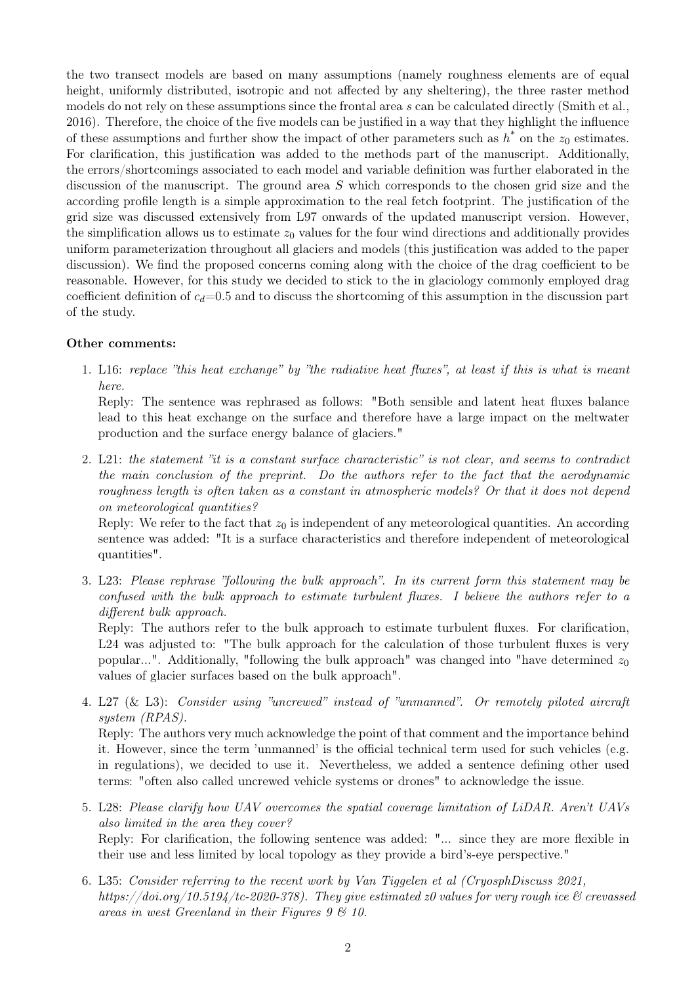the two transect models are based on many assumptions (namely roughness elements are of equal height, uniformly distributed, isotropic and not affected by any sheltering), the three raster method models do not rely on these assumptions since the frontal area s can be calculated directly (Smith et al., 2016). Therefore, the choice of the five models can be justified in a way that they highlight the influence of these assumptions and further show the impact of other parameters such as  $h^*$  on the  $z_0$  estimates. For clarification, this justification was added to the methods part of the manuscript. Additionally, the errors/shortcomings associated to each model and variable definition was further elaborated in the discussion of the manuscript. The ground area S which corresponds to the chosen grid size and the according profile length is a simple approximation to the real fetch footprint. The justification of the grid size was discussed extensively from L97 onwards of the updated manuscript version. However, the simplification allows us to estimate  $z_0$  values for the four wind directions and additionally provides uniform parameterization throughout all glaciers and models (this justification was added to the paper discussion). We find the proposed concerns coming along with the choice of the drag coefficient to be reasonable. However, for this study we decided to stick to the in glaciology commonly employed drag coefficient definition of  $c_d=0.5$  and to discuss the shortcoming of this assumption in the discussion part of the study.

#### Other comments:

1. L16: replace "this heat exchange" by "the radiative heat fluxes", at least if this is what is meant here.

Reply: The sentence was rephrased as follows: "Both sensible and latent heat fluxes balance lead to this heat exchange on the surface and therefore have a large impact on the meltwater production and the surface energy balance of glaciers."

2. L21: the statement "it is a constant surface characteristic" is not clear, and seems to contradict the main conclusion of the preprint. Do the authors refer to the fact that the aerodynamic roughness length is often taken as a constant in atmospheric models? Or that it does not depend on meteorological quantities?

Reply: We refer to the fact that  $z_0$  is independent of any meteorological quantities. An according sentence was added: "It is a surface characteristics and therefore independent of meteorological quantities".

3. L23: Please rephrase "following the bulk approach". In its current form this statement may be confused with the bulk approach to estimate turbulent fluxes. I believe the authors refer to a different bulk approach.

Reply: The authors refer to the bulk approach to estimate turbulent fluxes. For clarification, L24 was adjusted to: "The bulk approach for the calculation of those turbulent fluxes is very popular...". Additionally, "following the bulk approach" was changed into "have determined  $z_0$ values of glacier surfaces based on the bulk approach".

4. L27 (& L3): Consider using "uncrewed" instead of "unmanned". Or remotely piloted aircraft system (RPAS).

Reply: The authors very much acknowledge the point of that comment and the importance behind it. However, since the term 'unmanned' is the official technical term used for such vehicles (e.g. in regulations), we decided to use it. Nevertheless, we added a sentence defining other used terms: "often also called uncrewed vehicle systems or drones" to acknowledge the issue.

- 5. L28: Please clarify how UAV overcomes the spatial coverage limitation of LiDAR. Aren't UAVs also limited in the area they cover? Reply: For clarification, the following sentence was added: "... since they are more flexible in their use and less limited by local topology as they provide a bird's-eye perspective."
- 6. L35: Consider referring to the recent work by Van Tiggelen et al (CryosphDiscuss 2021, https://doi.org/10.5194/tc-2020-378). They give estimated z0 values for very rough ice  $\mathcal{B}$  crevassed areas in west Greenland in their Figures  $9 \& 10$ .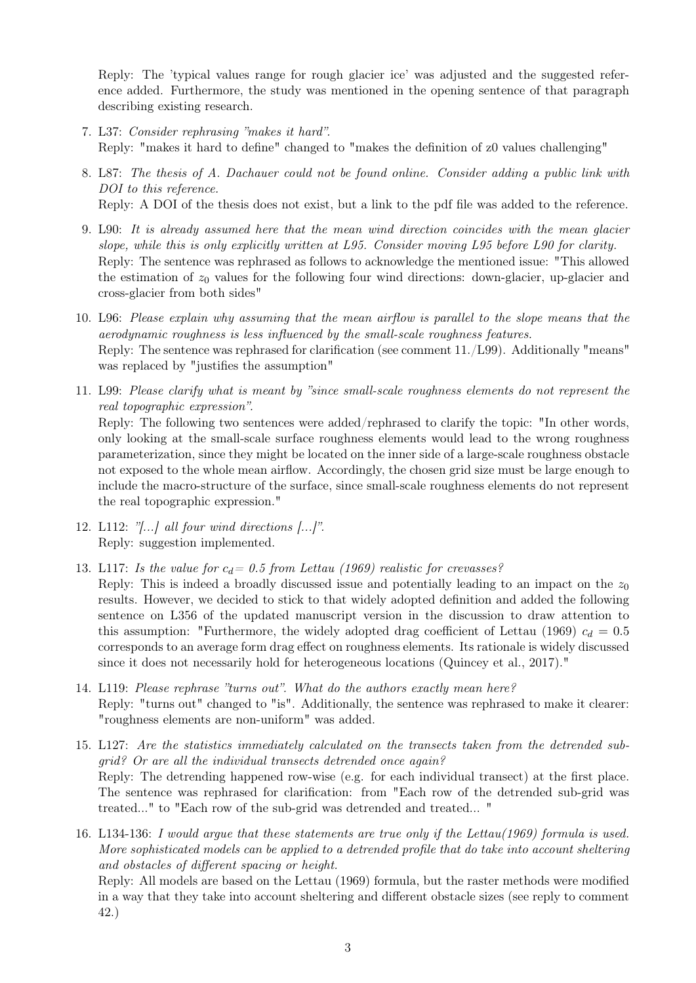Reply: The 'typical values range for rough glacier ice' was adjusted and the suggested reference added. Furthermore, the study was mentioned in the opening sentence of that paragraph describing existing research.

- 7. L37: Consider rephrasing "makes it hard". Reply: "makes it hard to define" changed to "makes the definition of z0 values challenging"
- 8. L87: The thesis of A. Dachauer could not be found online. Consider adding a public link with DOI to this reference. Reply: A DOI of the thesis does not exist, but a link to the pdf file was added to the reference.
- 9. L90: It is already assumed here that the mean wind direction coincides with the mean glacier slope, while this is only explicitly written at L95. Consider moving L95 before L90 for clarity. Reply: The sentence was rephrased as follows to acknowledge the mentioned issue: "This allowed the estimation of  $z_0$  values for the following four wind directions: down-glacier, up-glacier and cross-glacier from both sides"
- 10. L96: Please explain why assuming that the mean airflow is parallel to the slope means that the aerodynamic roughness is less influenced by the small-scale roughness features. Reply: The sentence was rephrased for clarification (see comment 11./L99). Additionally "means" was replaced by "justifies the assumption"
- 11. L99: Please clarify what is meant by "since small-scale roughness elements do not represent the real topographic expression". Reply: The following two sentences were added/rephrased to clarify the topic: "In other words, only looking at the small-scale surface roughness elements would lead to the wrong roughness parameterization, since they might be located on the inner side of a large-scale roughness obstacle not exposed to the whole mean airflow. Accordingly, the chosen grid size must be large enough to include the macro-structure of the surface, since small-scale roughness elements do not represent the real topographic expression."
- 12. L112: " $\ldots$  all four wind directions  $\ldots$ ". Reply: suggestion implemented.
- 13. L117: Is the value for  $c_d = 0.5$  from Lettau (1969) realistic for crevasses?
- Reply: This is indeed a broadly discussed issue and potentially leading to an impact on the  $z_0$ results. However, we decided to stick to that widely adopted definition and added the following sentence on L356 of the updated manuscript version in the discussion to draw attention to this assumption: "Furthermore, the widely adopted drag coefficient of Lettau (1969)  $c_d = 0.5$ corresponds to an average form drag effect on roughness elements. Its rationale is widely discussed since it does not necessarily hold for heterogeneous locations (Quincey et al., 2017)."
- 14. L119: Please rephrase "turns out". What do the authors exactly mean here? Reply: "turns out" changed to "is". Additionally, the sentence was rephrased to make it clearer: "roughness elements are non-uniform" was added.
- 15. L127: Are the statistics immediately calculated on the transects taken from the detrended subgrid? Or are all the individual transects detrended once again? Reply: The detrending happened row-wise (e.g. for each individual transect) at the first place. The sentence was rephrased for clarification: from "Each row of the detrended sub-grid was treated..." to "Each row of the sub-grid was detrended and treated... "
- 16. L134-136: I would argue that these statements are true only if the Lettau(1969) formula is used. More sophisticated models can be applied to a detrended profile that do take into account sheltering and obstacles of different spacing or height.

Reply: All models are based on the Lettau (1969) formula, but the raster methods were modified in a way that they take into account sheltering and different obstacle sizes (see reply to comment 42.)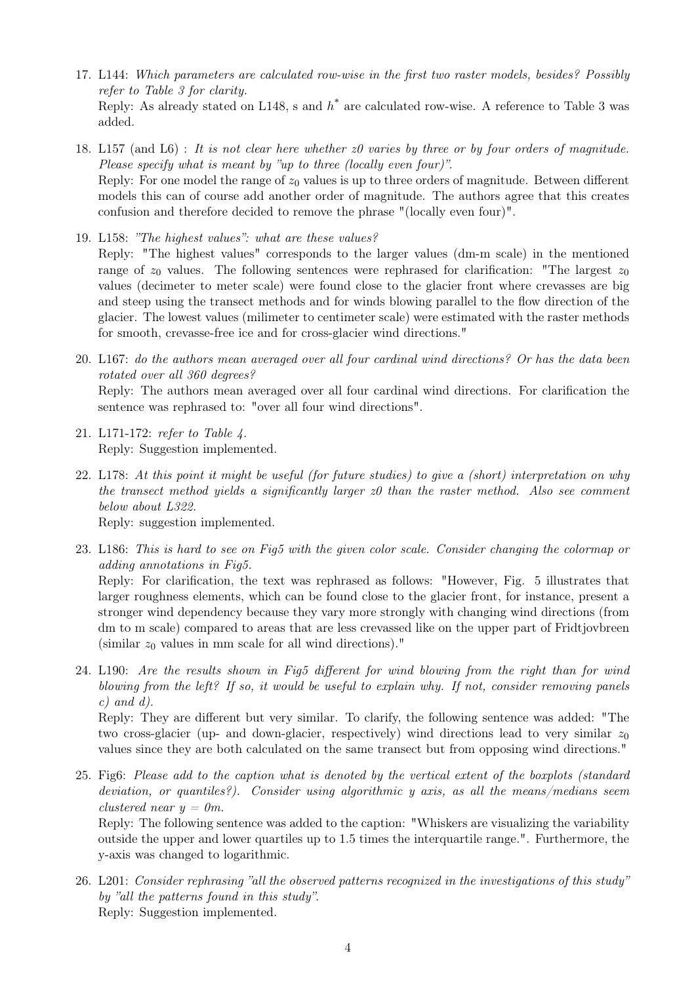- 17. L144: Which parameters are calculated row-wise in the first two raster models, besides? Possibly refer to Table 3 for clarity. Reply: As already stated on L148, s and  $h^*$  are calculated row-wise. A reference to Table 3 was added.
- 18. L157 (and L6) : It is not clear here whether z0 varies by three or by four orders of magnitude. Please specify what is meant by "up to three (locally even four)". Reply: For one model the range of  $z_0$  values is up to three orders of magnitude. Between different models this can of course add another order of magnitude. The authors agree that this creates confusion and therefore decided to remove the phrase "(locally even four)".
- 19. L158: "The highest values": what are these values? Reply: "The highest values" corresponds to the larger values (dm-m scale) in the mentioned range of  $z_0$  values. The following sentences were rephrased for clarification: "The largest  $z_0$ values (decimeter to meter scale) were found close to the glacier front where crevasses are big and steep using the transect methods and for winds blowing parallel to the flow direction of the glacier. The lowest values (milimeter to centimeter scale) were estimated with the raster methods for smooth, crevasse-free ice and for cross-glacier wind directions."
- 20. L167: do the authors mean averaged over all four cardinal wind directions? Or has the data been rotated over all 360 degrees? Reply: The authors mean averaged over all four cardinal wind directions. For clarification the
- 21. L171-172: refer to Table 4. Reply: Suggestion implemented.

sentence was rephrased to: "over all four wind directions".

22. L178: At this point it might be useful (for future studies) to give a (short) interpretation on why the transect method yields a significantly larger  $z0$  than the raster method. Also see comment below about L322.

Reply: suggestion implemented.

- 23. L186: This is hard to see on Fig5 with the given color scale. Consider changing the colormap or adding annotations in Fig5. Reply: For clarification, the text was rephrased as follows: "However, Fig. 5 illustrates that larger roughness elements, which can be found close to the glacier front, for instance, present a stronger wind dependency because they vary more strongly with changing wind directions (from dm to m scale) compared to areas that are less crevassed like on the upper part of Fridtjovbreen (similar  $z_0$  values in mm scale for all wind directions)."
- 24. L190: Are the results shown in Fig5 different for wind blowing from the right than for wind blowing from the left? If so, it would be useful to explain why. If not, consider removing panels  $c)$  and  $d)$ .

Reply: They are different but very similar. To clarify, the following sentence was added: "The two cross-glacier (up- and down-glacier, respectively) wind directions lead to very similar  $z_0$ values since they are both calculated on the same transect but from opposing wind directions."

25. Fig6: Please add to the caption what is denoted by the vertical extent of the boxplots (standard deviation, or quantiles?). Consider using algorithmic y axis, as all the means/medians seem clustered near  $y = 0m$ .

Reply: The following sentence was added to the caption: "Whiskers are visualizing the variability outside the upper and lower quartiles up to 1.5 times the interquartile range.". Furthermore, the y-axis was changed to logarithmic.

26. L201: Consider rephrasing "all the observed patterns recognized in the investigations of this study" by "all the patterns found in this study". Reply: Suggestion implemented.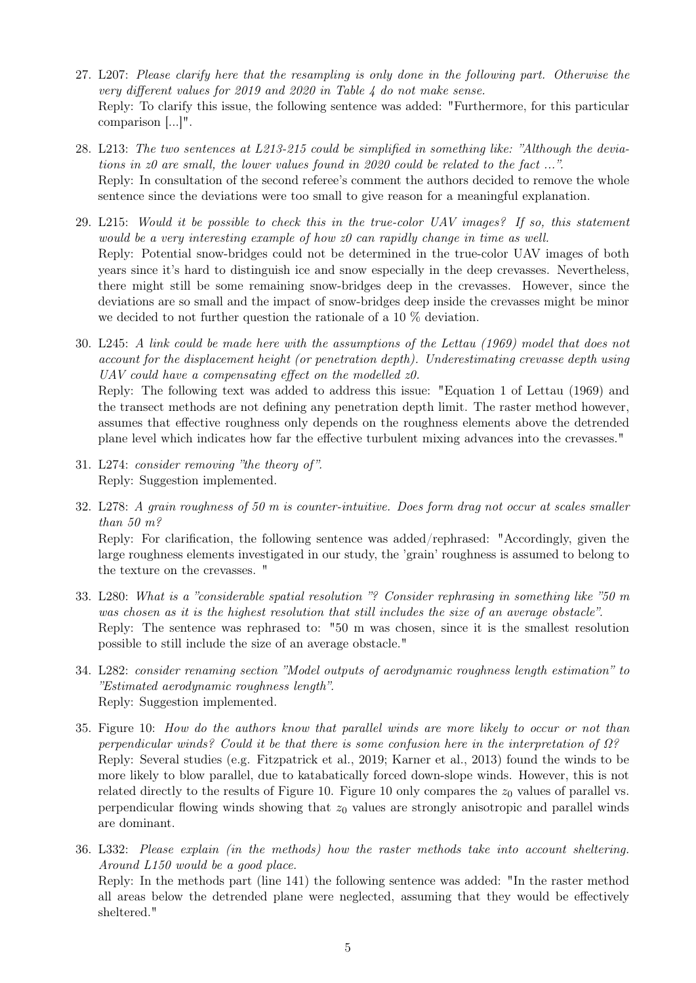- 27. L207: Please clarify here that the resampling is only done in the following part. Otherwise the very different values for 2019 and 2020 in Table 4 do not make sense. Reply: To clarify this issue, the following sentence was added: "Furthermore, for this particular comparison [...]".
- 28. L213: The two sentences at L213-215 could be simplified in something like: "Although the deviations in z0 are small, the lower values found in 2020 could be related to the fact ...". Reply: In consultation of the second referee's comment the authors decided to remove the whole sentence since the deviations were too small to give reason for a meaningful explanation.
- 29. L215: Would it be possible to check this in the true-color UAV images? If so, this statement would be a very interesting example of how z0 can rapidly change in time as well. Reply: Potential snow-bridges could not be determined in the true-color UAV images of both years since it's hard to distinguish ice and snow especially in the deep crevasses. Nevertheless, there might still be some remaining snow-bridges deep in the crevasses. However, since the deviations are so small and the impact of snow-bridges deep inside the crevasses might be minor we decided to not further question the rationale of a 10 % deviation.
- 30. L245: A link could be made here with the assumptions of the Lettau (1969) model that does not account for the displacement height (or penetration depth). Underestimating crevasse depth using UAV could have a compensating effect on the modelled  $z0$ . Reply: The following text was added to address this issue: "Equation 1 of Lettau (1969) and the transect methods are not defining any penetration depth limit. The raster method however, assumes that effective roughness only depends on the roughness elements above the detrended plane level which indicates how far the effective turbulent mixing advances into the crevasses."
- 31. L274: consider removing "the theory of ". Reply: Suggestion implemented.
- 32. L278: A grain roughness of 50 m is counter-intuitive. Does form drag not occur at scales smaller than 50 m?

Reply: For clarification, the following sentence was added/rephrased: "Accordingly, given the large roughness elements investigated in our study, the 'grain' roughness is assumed to belong to the texture on the crevasses. "

- 33. L280: What is a "considerable spatial resolution "? Consider rephrasing in something like "50 m was chosen as it is the highest resolution that still includes the size of an average obstacle". Reply: The sentence was rephrased to: "50 m was chosen, since it is the smallest resolution possible to still include the size of an average obstacle."
- 34. L282: consider renaming section "Model outputs of aerodynamic roughness length estimation" to "Estimated aerodynamic roughness length". Reply: Suggestion implemented.
- 35. Figure 10: How do the authors know that parallel winds are more likely to occur or not than perpendicular winds? Could it be that there is some confusion here in the interpretation of Ω? Reply: Several studies (e.g. Fitzpatrick et al., 2019; Karner et al., 2013) found the winds to be more likely to blow parallel, due to katabatically forced down-slope winds. However, this is not related directly to the results of Figure 10. Figure 10 only compares the  $z_0$  values of parallel vs. perpendicular flowing winds showing that  $z_0$  values are strongly anisotropic and parallel winds are dominant.
- 36. L332: Please explain (in the methods) how the raster methods take into account sheltering. Around L150 would be a good place. Reply: In the methods part (line 141) the following sentence was added: "In the raster method all areas below the detrended plane were neglected, assuming that they would be effectively sheltered."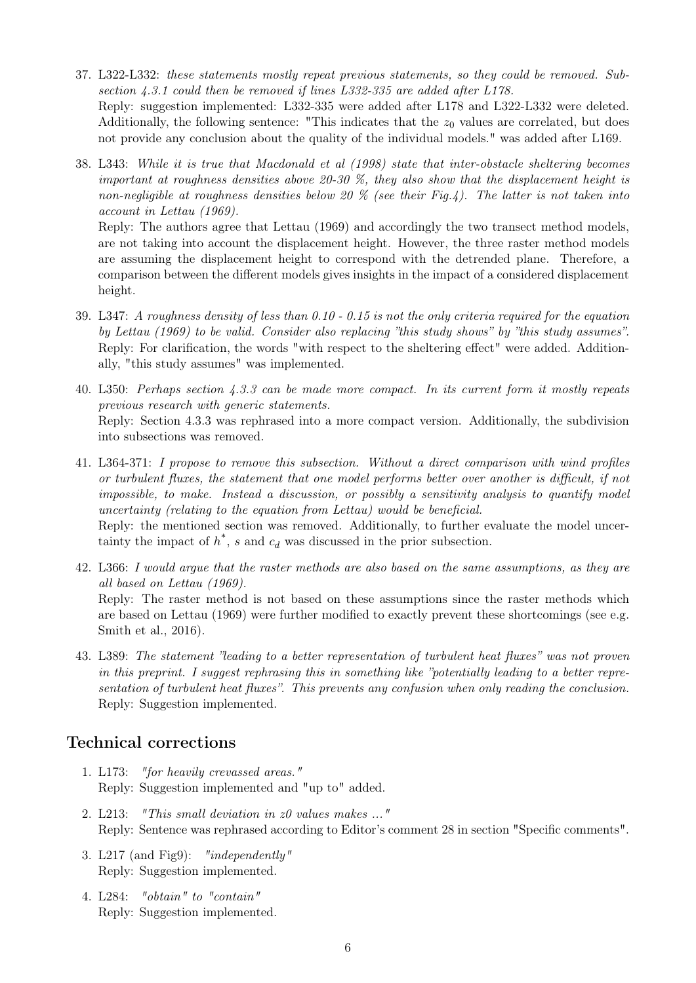- 37. L322-L332: these statements mostly repeat previous statements, so they could be removed. Subsection 4.3.1 could then be removed if lines L332-335 are added after L178. Reply: suggestion implemented: L332-335 were added after L178 and L322-L332 were deleted. Additionally, the following sentence: "This indicates that the  $z_0$  values are correlated, but does not provide any conclusion about the quality of the individual models." was added after L169.
- 38. L343: While it is true that Macdonald et al (1998) state that inter-obstacle sheltering becomes important at roughness densities above 20-30 %, they also show that the displacement height is non-negligible at roughness densities below 20 % (see their Fig.4). The latter is not taken into account in Lettau (1969).

Reply: The authors agree that Lettau (1969) and accordingly the two transect method models, are not taking into account the displacement height. However, the three raster method models are assuming the displacement height to correspond with the detrended plane. Therefore, a comparison between the different models gives insights in the impact of a considered displacement height.

- 39. L347: A roughness density of less than 0.10 0.15 is not the only criteria required for the equation by Lettau (1969) to be valid. Consider also replacing "this study shows" by "this study assumes". Reply: For clarification, the words "with respect to the sheltering effect" were added. Additionally, "this study assumes" was implemented.
- 40. L350: Perhaps section 4.3.3 can be made more compact. In its current form it mostly repeats previous research with generic statements. Reply: Section 4.3.3 was rephrased into a more compact version. Additionally, the subdivision into subsections was removed.
- 41. L364-371: I propose to remove this subsection. Without a direct comparison with wind profiles or turbulent fluxes, the statement that one model performs better over another is difficult, if not impossible, to make. Instead a discussion, or possibly a sensitivity analysis to quantify model uncertainty (relating to the equation from Lettau) would be beneficial. Reply: the mentioned section was removed. Additionally, to further evaluate the model uncertainty the impact of  $h^*$ , s and  $c_d$  was discussed in the prior subsection.
- 42. L366: I would argue that the raster methods are also based on the same assumptions, as they are all based on Lettau (1969). Reply: The raster method is not based on these assumptions since the raster methods which are based on Lettau (1969) were further modified to exactly prevent these shortcomings (see e.g. Smith et al., 2016).
- 43. L389: The statement "leading to a better representation of turbulent heat fluxes" was not proven in this preprint. I suggest rephrasing this in something like "potentially leading to a better representation of turbulent heat fluxes". This prevents any confusion when only reading the conclusion. Reply: Suggestion implemented.

### Technical corrections

- 1. L173: "for heavily crevassed areas." Reply: Suggestion implemented and "up to" added.
- 2. L213: "This small deviation in z0 values makes ..." Reply: Sentence was rephrased according to Editor's comment 28 in section "Specific comments".
- 3. L217 (and Fig9): "independently" Reply: Suggestion implemented.
- 4. L284: "obtain" to "contain" Reply: Suggestion implemented.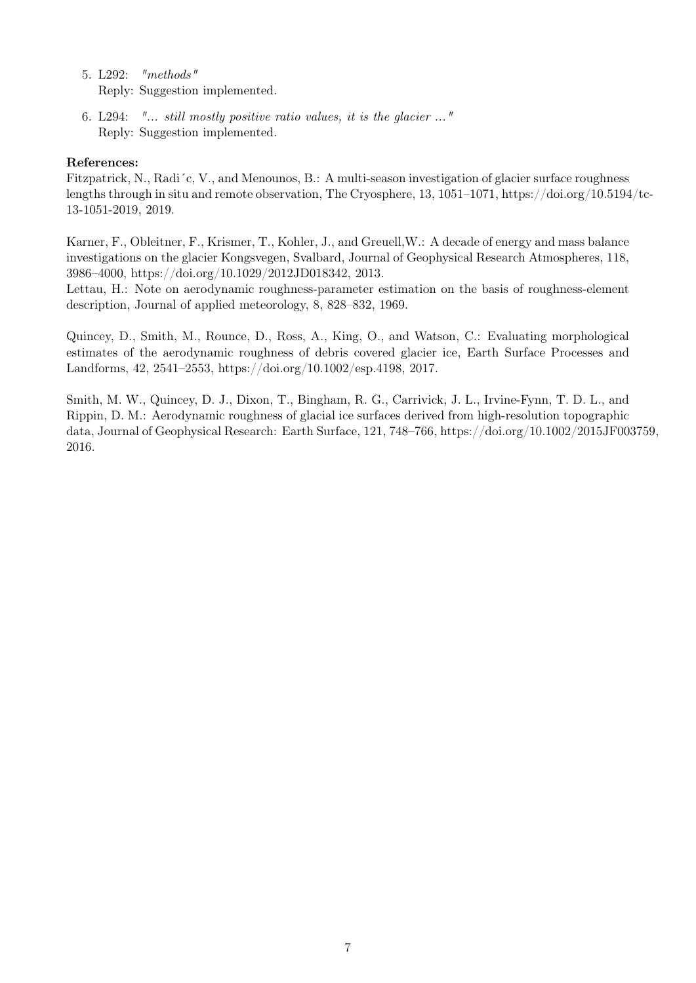- 5. L292: "methods" Reply: Suggestion implemented.
- 6. L294: "... still mostly positive ratio values, it is the glacier ..." Reply: Suggestion implemented.

#### References:

Fitzpatrick, N., Radi´c, V., and Menounos, B.: A multi-season investigation of glacier surface roughness lengths through in situ and remote observation, The Cryosphere, 13, 1051–1071, https://doi.org/10.5194/tc-13-1051-2019, 2019.

Karner, F., Obleitner, F., Krismer, T., Kohler, J., and Greuell,W.: A decade of energy and mass balance investigations on the glacier Kongsvegen, Svalbard, Journal of Geophysical Research Atmospheres, 118, 3986–4000, https://doi.org/10.1029/2012JD018342, 2013.

Lettau, H.: Note on aerodynamic roughness-parameter estimation on the basis of roughness-element description, Journal of applied meteorology, 8, 828–832, 1969.

Quincey, D., Smith, M., Rounce, D., Ross, A., King, O., and Watson, C.: Evaluating morphological estimates of the aerodynamic roughness of debris covered glacier ice, Earth Surface Processes and Landforms, 42, 2541–2553, https://doi.org/10.1002/esp.4198, 2017.

Smith, M. W., Quincey, D. J., Dixon, T., Bingham, R. G., Carrivick, J. L., Irvine-Fynn, T. D. L., and Rippin, D. M.: Aerodynamic roughness of glacial ice surfaces derived from high-resolution topographic data, Journal of Geophysical Research: Earth Surface, 121, 748–766, https://doi.org/10.1002/2015JF003759, 2016.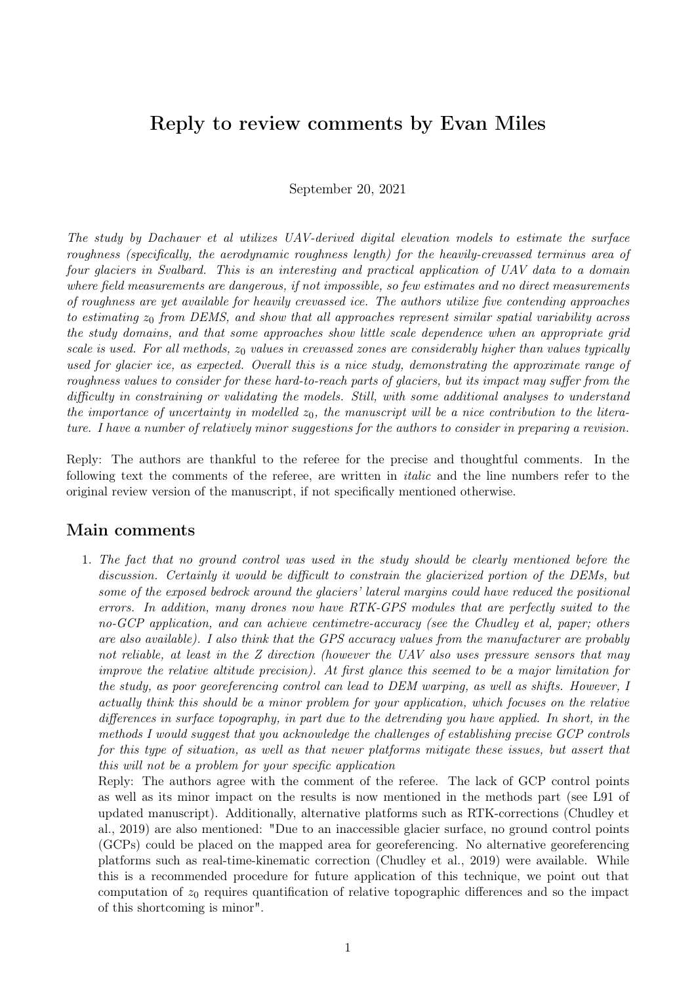## Reply to review comments by Evan Miles

September 20, 2021

The study by Dachauer et al utilizes UAV-derived digital elevation models to estimate the surface roughness (specifically, the aerodynamic roughness length) for the heavily-crevassed terminus area of four glaciers in Svalbard. This is an interesting and practical application of UAV data to a domain where field measurements are dangerous, if not impossible, so few estimates and no direct measurements of roughness are yet available for heavily crevassed ice. The authors utilize five contending approaches to estimating  $z<sub>0</sub>$  from DEMS, and show that all approaches represent similar spatial variability across the study domains, and that some approaches show little scale dependence when an appropriate grid scale is used. For all methods,  $z_0$  values in crevassed zones are considerably higher than values typically used for glacier ice, as expected. Overall this is a nice study, demonstrating the approximate range of roughness values to consider for these hard-to-reach parts of glaciers, but its impact may suffer from the difficulty in constraining or validating the models. Still, with some additional analyses to understand the importance of uncertainty in modelled  $z_0$ , the manuscript will be a nice contribution to the literature. I have a number of relatively minor suggestions for the authors to consider in preparing a revision.

Reply: The authors are thankful to the referee for the precise and thoughtful comments. In the following text the comments of the referee, are written in italic and the line numbers refer to the original review version of the manuscript, if not specifically mentioned otherwise.

### Main comments

1. The fact that no ground control was used in the study should be clearly mentioned before the discussion. Certainly it would be difficult to constrain the glacierized portion of the DEMs, but some of the exposed bedrock around the glaciers' lateral margins could have reduced the positional errors. In addition, many drones now have RTK-GPS modules that are perfectly suited to the no-GCP application, and can achieve centimetre-accuracy (see the Chudley et al, paper; others are also available). I also think that the GPS accuracy values from the manufacturer are probably not reliable, at least in the Z direction (however the UAV also uses pressure sensors that may improve the relative altitude precision). At first glance this seemed to be a major limitation for the study, as poor georeferencing control can lead to DEM warping, as well as shifts. However, I actually think this should be a minor problem for your application, which focuses on the relative differences in surface topography, in part due to the detrending you have applied. In short, in the methods I would suggest that you acknowledge the challenges of establishing precise GCP controls for this type of situation, as well as that newer platforms mitigate these issues, but assert that this will not be a problem for your specific application

Reply: The authors agree with the comment of the referee. The lack of GCP control points as well as its minor impact on the results is now mentioned in the methods part (see L91 of updated manuscript). Additionally, alternative platforms such as RTK-corrections (Chudley et al., 2019) are also mentioned: "Due to an inaccessible glacier surface, no ground control points (GCPs) could be placed on the mapped area for georeferencing. No alternative georeferencing platforms such as real-time-kinematic correction (Chudley et al., 2019) were available. While this is a recommended procedure for future application of this technique, we point out that computation of  $z_0$  requires quantification of relative topographic differences and so the impact of this shortcoming is minor".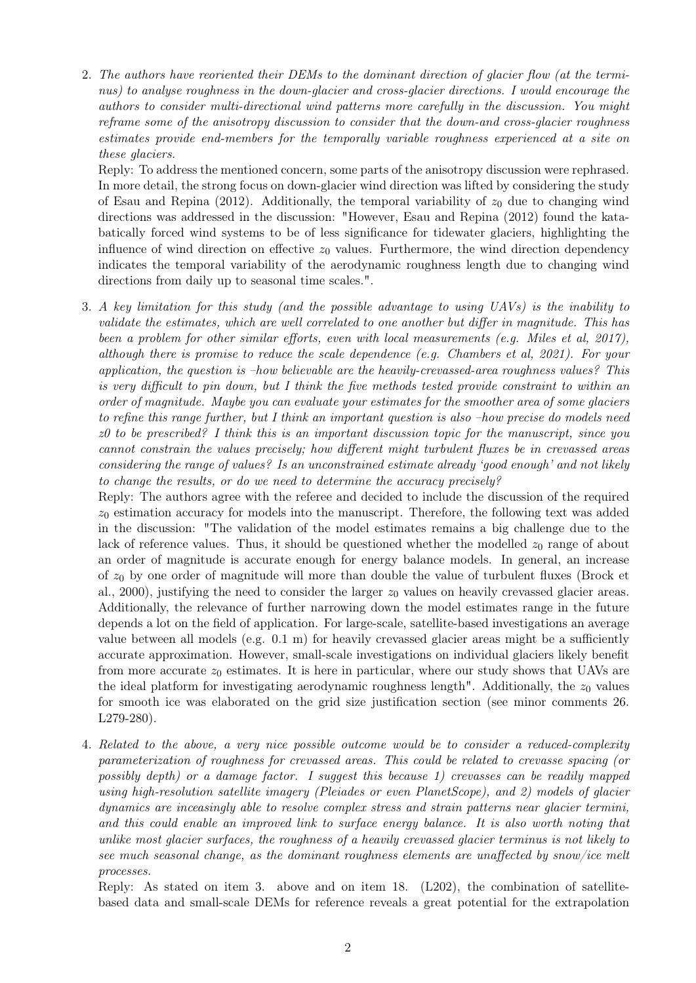2. The authors have reoriented their DEMs to the dominant direction of glacier flow (at the terminus) to analyse roughness in the down-glacier and cross-glacier directions. I would encourage the authors to consider multi-directional wind patterns more carefully in the discussion. You might reframe some of the anisotropy discussion to consider that the down-and cross-glacier roughness estimates provide end-members for the temporally variable roughness experienced at a site on these glaciers.

Reply: To address the mentioned concern, some parts of the anisotropy discussion were rephrased. In more detail, the strong focus on down-glacier wind direction was lifted by considering the study of Esau and Repina (2012). Additionally, the temporal variability of  $z_0$  due to changing wind directions was addressed in the discussion: "However, Esau and Repina (2012) found the katabatically forced wind systems to be of less significance for tidewater glaciers, highlighting the influence of wind direction on effective  $z_0$  values. Furthermore, the wind direction dependency indicates the temporal variability of the aerodynamic roughness length due to changing wind directions from daily up to seasonal time scales.".

3. A key limitation for this study (and the possible advantage to using UAVs) is the inability to validate the estimates, which are well correlated to one another but differ in magnitude. This has been a problem for other similar efforts, even with local measurements (e.g. Miles et al, 2017), although there is promise to reduce the scale dependence (e.g. Chambers et al, 2021). For your application, the question is –how believable are the heavily-crevassed-area roughness values? This is very difficult to pin down, but I think the five methods tested provide constraint to within an order of magnitude. Maybe you can evaluate your estimates for the smoother area of some glaciers to refine this range further, but I think an important question is also –how precise do models need  $z0$  to be prescribed? I think this is an important discussion topic for the manuscript, since you cannot constrain the values precisely; how different might turbulent fluxes be in crevassed areas considering the range of values? Is an unconstrained estimate already 'good enough' and not likely to change the results, or do we need to determine the accuracy precisely?

Reply: The authors agree with the referee and decided to include the discussion of the required  $z_0$  estimation accuracy for models into the manuscript. Therefore, the following text was added in the discussion: "The validation of the model estimates remains a big challenge due to the lack of reference values. Thus, it should be questioned whether the modelled  $z_0$  range of about an order of magnitude is accurate enough for energy balance models. In general, an increase of  $z_0$  by one order of magnitude will more than double the value of turbulent fluxes (Brock et al., 2000), justifying the need to consider the larger  $z_0$  values on heavily crevassed glacier areas. Additionally, the relevance of further narrowing down the model estimates range in the future depends a lot on the field of application. For large-scale, satellite-based investigations an average value between all models (e.g.  $(0.1 \text{ m})$  for heavily crevassed glacier areas might be a sufficiently accurate approximation. However, small-scale investigations on individual glaciers likely benefit from more accurate  $z_0$  estimates. It is here in particular, where our study shows that UAVs are the ideal platform for investigating aerodynamic roughness length". Additionally, the  $z_0$  values for smooth ice was elaborated on the grid size justification section (see minor comments 26. L279-280).

4. Related to the above, a very nice possible outcome would be to consider a reduced-complexity parameterization of roughness for crevassed areas. This could be related to crevasse spacing (or possibly depth) or a damage factor. I suggest this because 1) crevasses can be readily mapped using high-resolution satellite imagery (Pleiades or even PlanetScope), and 2) models of glacier dynamics are inceasingly able to resolve complex stress and strain patterns near glacier termini, and this could enable an improved link to surface energy balance. It is also worth noting that unlike most glacier surfaces, the roughness of a heavily crevassed glacier terminus is not likely to see much seasonal change, as the dominant roughness elements are unaffected by snow/ice melt processes.

Reply: As stated on item 3. above and on item 18. (L202), the combination of satellitebased data and small-scale DEMs for reference reveals a great potential for the extrapolation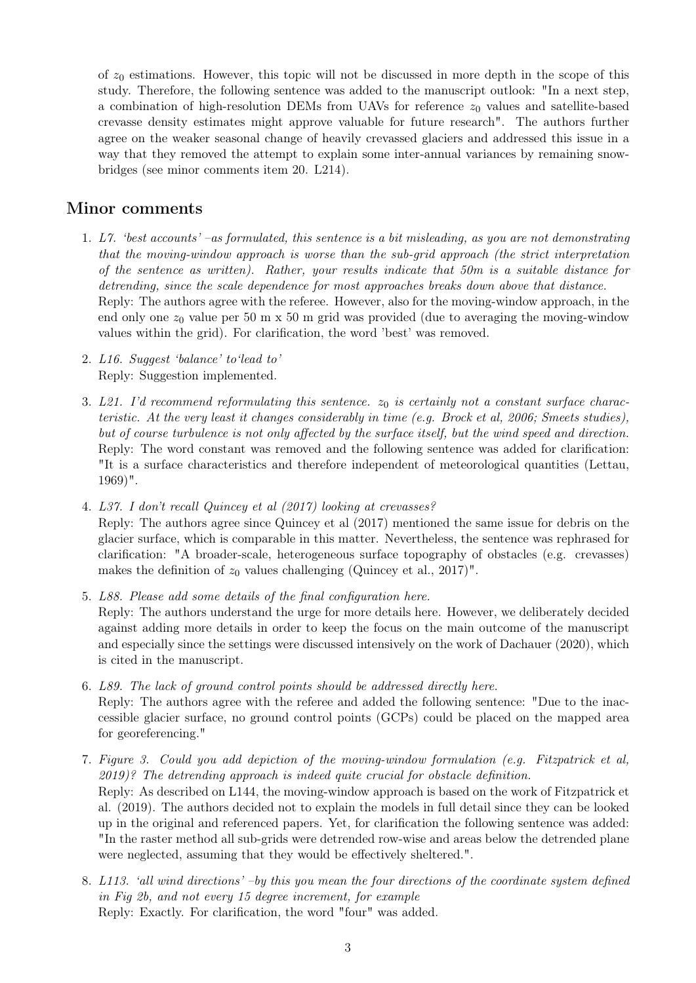of  $z_0$  estimations. However, this topic will not be discussed in more depth in the scope of this study. Therefore, the following sentence was added to the manuscript outlook: "In a next step, a combination of high-resolution DEMs from UAVs for reference  $z_0$  values and satellite-based crevasse density estimates might approve valuable for future research". The authors further agree on the weaker seasonal change of heavily crevassed glaciers and addressed this issue in a way that they removed the attempt to explain some inter-annual variances by remaining snowbridges (see minor comments item 20. L214).

### Minor comments

- 1. L7. 'best accounts' –as formulated, this sentence is a bit misleading, as you are not demonstrating that the moving-window approach is worse than the sub-grid approach (the strict interpretation of the sentence as written). Rather, your results indicate that 50m is a suitable distance for detrending, since the scale dependence for most approaches breaks down above that distance. Reply: The authors agree with the referee. However, also for the moving-window approach, in the end only one  $z_0$  value per 50 m x 50 m grid was provided (due to averaging the moving-window values within the grid). For clarification, the word 'best' was removed.
- 2. L16. Suggest 'balance' to'lead to' Reply: Suggestion implemented.
- 3. L21. I'd recommend reformulating this sentence.  $z_0$  is certainly not a constant surface characteristic. At the very least it changes considerably in time (e.g. Brock et al, 2006; Smeets studies), but of course turbulence is not only affected by the surface itself, but the wind speed and direction. Reply: The word constant was removed and the following sentence was added for clarification: "It is a surface characteristics and therefore independent of meteorological quantities (Lettau, 1969)".
- 4. L37. I don't recall Quincey et al (2017) looking at crevasses? Reply: The authors agree since Quincey et al (2017) mentioned the same issue for debris on the glacier surface, which is comparable in this matter. Nevertheless, the sentence was rephrased for clarification: "A broader-scale, heterogeneous surface topography of obstacles (e.g. crevasses) makes the definition of  $z_0$  values challenging (Quincey et al., 2017)".
- 5. L88. Please add some details of the final configuration here. Reply: The authors understand the urge for more details here. However, we deliberately decided against adding more details in order to keep the focus on the main outcome of the manuscript and especially since the settings were discussed intensively on the work of Dachauer (2020), which is cited in the manuscript.
- 6. L89. The lack of ground control points should be addressed directly here. Reply: The authors agree with the referee and added the following sentence: "Due to the inaccessible glacier surface, no ground control points (GCPs) could be placed on the mapped area for georeferencing."
- 7. Figure 3. Could you add depiction of the moving-window formulation (e.g. Fitzpatrick et al, 2019)? The detrending approach is indeed quite crucial for obstacle definition. Reply: As described on L144, the moving-window approach is based on the work of Fitzpatrick et al. (2019). The authors decided not to explain the models in full detail since they can be looked up in the original and referenced papers. Yet, for clarification the following sentence was added: "In the raster method all sub-grids were detrended row-wise and areas below the detrended plane were neglected, assuming that they would be effectively sheltered.".
- 8. L113. 'all wind directions' –by this you mean the four directions of the coordinate system defined in Fig 2b, and not every 15 degree increment, for example Reply: Exactly. For clarification, the word "four" was added.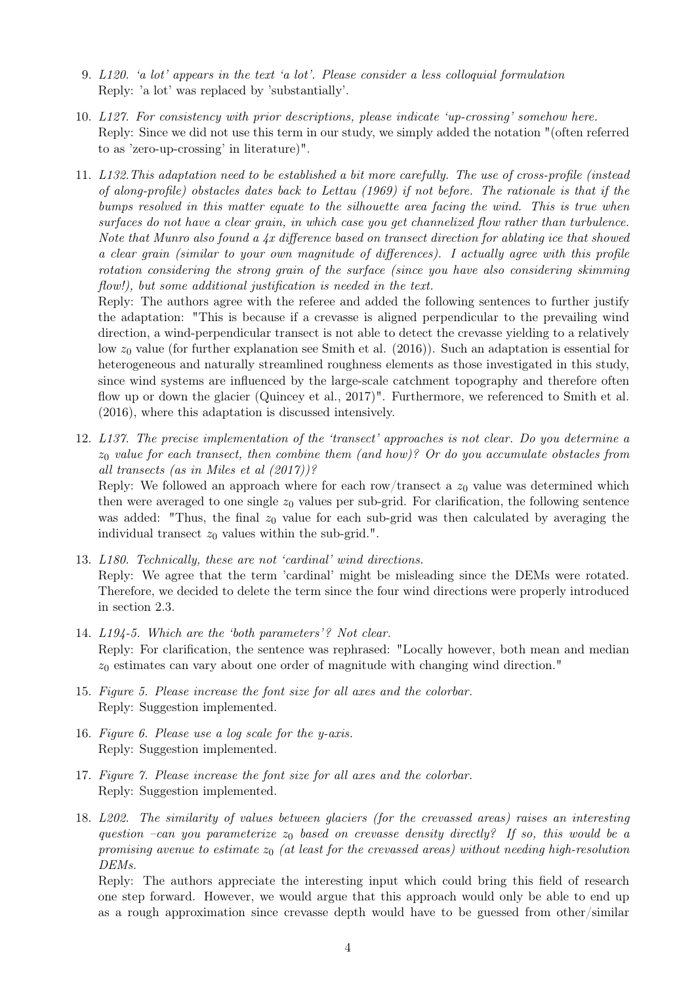- 9. L120. 'a lot' appears in the text 'a lot'. Please consider a less colloquial formulation Reply: 'a lot' was replaced by 'substantially'.
- 10. L127. For consistency with prior descriptions, please indicate 'up-crossing' somehow here. Reply: Since we did not use this term in our study, we simply added the notation "(often referred to as 'zero-up-crossing' in literature)".
- 11. L132.This adaptation need to be established a bit more carefully. The use of cross-profile (instead of along-profile) obstacles dates back to Lettau (1969) if not before. The rationale is that if the bumps resolved in this matter equate to the silhouette area facing the wind. This is true when surfaces do not have a clear grain, in which case you get channelized flow rather than turbulence. Note that Munro also found a  $4x$  difference based on transect direction for ablating ice that showed a clear grain (similar to your own magnitude of differences). I actually agree with this profile rotation considering the strong grain of the surface (since you have also considering skimming flow!), but some additional justification is needed in the text.

Reply: The authors agree with the referee and added the following sentences to further justify the adaptation: "This is because if a crevasse is aligned perpendicular to the prevailing wind direction, a wind-perpendicular transect is not able to detect the crevasse yielding to a relatively low  $z_0$  value (for further explanation see Smith et al. (2016)). Such an adaptation is essential for heterogeneous and naturally streamlined roughness elements as those investigated in this study, since wind systems are influenced by the large-scale catchment topography and therefore often flow up or down the glacier (Quincey et al., 2017)". Furthermore, we referenced to Smith et al. (2016), where this adaptation is discussed intensively.

12. L137. The precise implementation of the 'transect' approaches is not clear. Do you determine a  $z_0$  value for each transect, then combine them (and how)? Or do you accumulate obstacles from all transects (as in Miles et al (2017))?

Reply: We followed an approach where for each row/transect a  $z_0$  value was determined which then were averaged to one single  $z_0$  values per sub-grid. For clarification, the following sentence was added: "Thus, the final  $z_0$  value for each sub-grid was then calculated by averaging the individual transect  $z_0$  values within the sub-grid.".

- 13. L180. Technically, these are not 'cardinal' wind directions. Reply: We agree that the term 'cardinal' might be misleading since the DEMs were rotated. Therefore, we decided to delete the term since the four wind directions were properly introduced in section 2.3.
- 14. L194-5. Which are the 'both parameters'? Not clear. Reply: For clarification, the sentence was rephrased: "Locally however, both mean and median  $z<sub>0</sub>$  estimates can vary about one order of magnitude with changing wind direction."
- 15. Figure 5. Please increase the font size for all axes and the colorbar. Reply: Suggestion implemented.
- 16. Figure 6. Please use a log scale for the y-axis. Reply: Suggestion implemented.
- 17. Figure 7. Please increase the font size for all axes and the colorbar. Reply: Suggestion implemented.
- 18. L202. The similarity of values between glaciers (for the crevassed areas) raises an interesting question –can you parameterize  $z_0$  based on crevasse density directly? If so, this would be a promising avenue to estimate  $z_0$  (at least for the crevassed areas) without needing high-resolution DEMs.

Reply: The authors appreciate the interesting input which could bring this field of research one step forward. However, we would argue that this approach would only be able to end up as a rough approximation since crevasse depth would have to be guessed from other/similar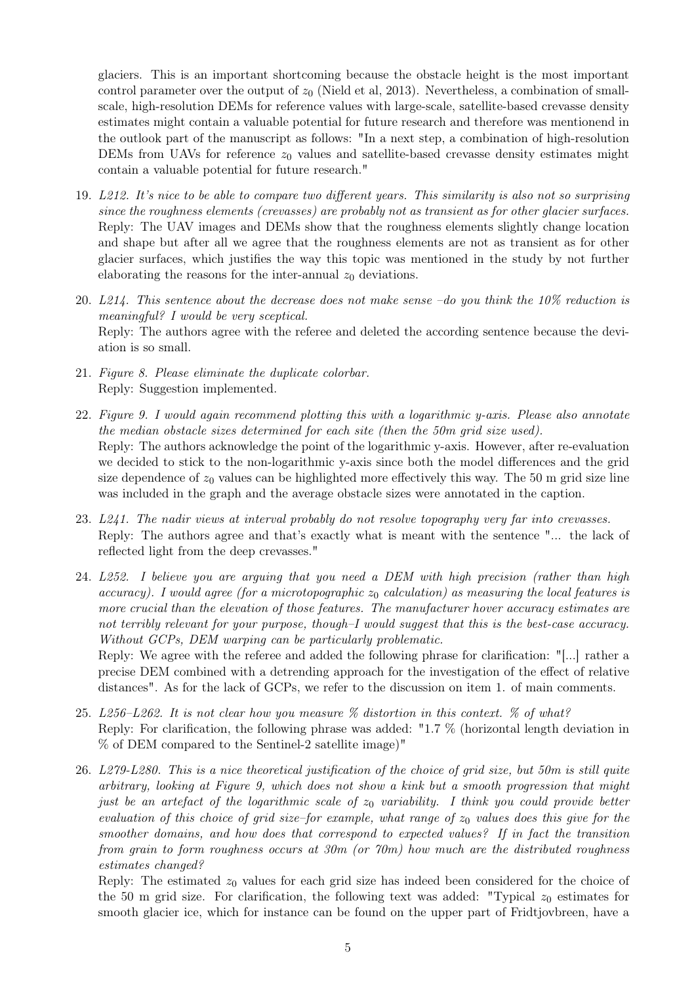glaciers. This is an important shortcoming because the obstacle height is the most important control parameter over the output of  $z_0$  (Nield et al, 2013). Nevertheless, a combination of smallscale, high-resolution DEMs for reference values with large-scale, satellite-based crevasse density estimates might contain a valuable potential for future research and therefore was mentionend in the outlook part of the manuscript as follows: "In a next step, a combination of high-resolution DEMs from UAVs for reference  $z_0$  values and satellite-based crevasse density estimates might contain a valuable potential for future research."

- 19. L212. It's nice to be able to compare two different years. This similarity is also not so surprising since the roughness elements (crevasses) are probably not as transient as for other glacier surfaces. Reply: The UAV images and DEMs show that the roughness elements slightly change location and shape but after all we agree that the roughness elements are not as transient as for other glacier surfaces, which justifies the way this topic was mentioned in the study by not further elaborating the reasons for the inter-annual  $z_0$  deviations.
- 20. L214. This sentence about the decrease does not make sense –do you think the 10% reduction is meaningful? I would be very sceptical. Reply: The authors agree with the referee and deleted the according sentence because the deviation is so small.
- 21. Figure 8. Please eliminate the duplicate colorbar. Reply: Suggestion implemented.
- 22. Figure 9. I would again recommend plotting this with a logarithmic y-axis. Please also annotate the median obstacle sizes determined for each site (then the 50m grid size used). Reply: The authors acknowledge the point of the logarithmic y-axis. However, after re-evaluation we decided to stick to the non-logarithmic y-axis since both the model differences and the grid size dependence of  $z_0$  values can be highlighted more effectively this way. The 50 m grid size line was included in the graph and the average obstacle sizes were annotated in the caption.
- 23. L241. The nadir views at interval probably do not resolve topography very far into crevasses. Reply: The authors agree and that's exactly what is meant with the sentence "... the lack of reflected light from the deep crevasses."
- 24. L252. I believe you are arguing that you need a DEM with high precision (rather than high accuracy). I would agree (for a microtopographic  $z_0$  calculation) as measuring the local features is more crucial than the elevation of those features. The manufacturer hover accuracy estimates are not terribly relevant for your purpose, though–I would suggest that this is the best-case accuracy. Without GCPs, DEM warping can be particularly problematic.

Reply: We agree with the referee and added the following phrase for clarification: "[...] rather a precise DEM combined with a detrending approach for the investigation of the effect of relative distances". As for the lack of GCPs, we refer to the discussion on item 1. of main comments.

- 25. L256–L262. It is not clear how you measure  $\%$  distortion in this context.  $\%$  of what? Reply: For clarification, the following phrase was added: "1.7 % (horizontal length deviation in % of DEM compared to the Sentinel-2 satellite image)"
- 26. L279-L280. This is a nice theoretical justification of the choice of grid size, but 50m is still quite arbitrary, looking at Figure 9, which does not show a kink but a smooth progression that might just be an artefact of the logarithmic scale of  $z_0$  variability. I think you could provide better evaluation of this choice of grid size–for example, what range of  $z_0$  values does this give for the smoother domains, and how does that correspond to expected values? If in fact the transition from grain to form roughness occurs at 30m (or 70m) how much are the distributed roughness estimates changed?

Reply: The estimated  $z_0$  values for each grid size has indeed been considered for the choice of the 50 m grid size. For clarification, the following text was added: "Typical  $z_0$  estimates for smooth glacier ice, which for instance can be found on the upper part of Fridtjovbreen, have a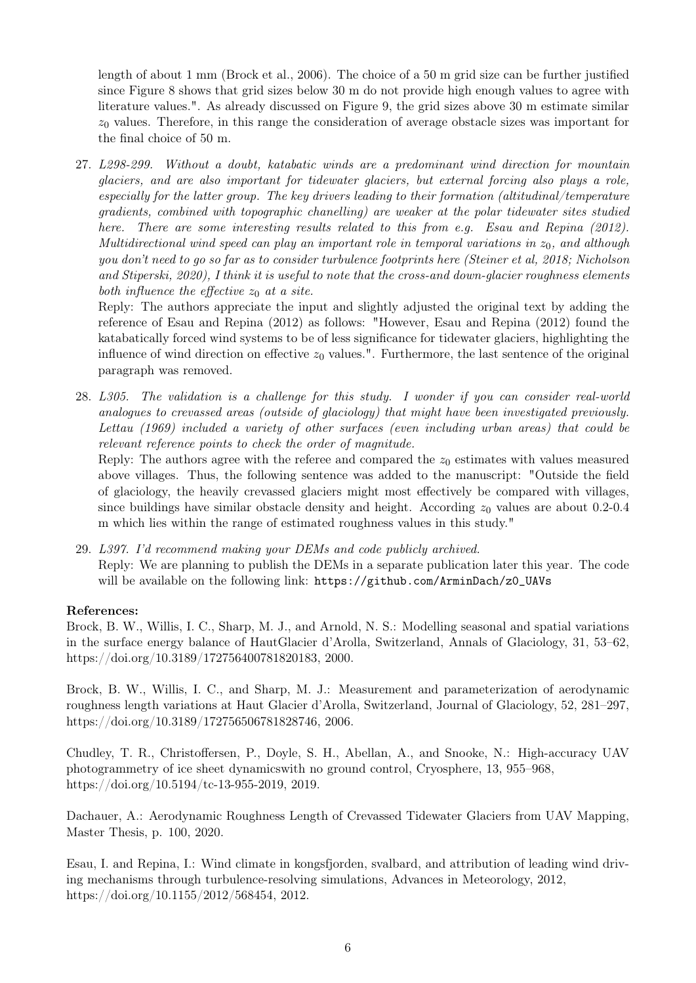length of about 1 mm (Brock et al., 2006). The choice of a 50 m grid size can be further justified since Figure 8 shows that grid sizes below 30 m do not provide high enough values to agree with literature values.". As already discussed on Figure 9, the grid sizes above 30 m estimate similar  $z_0$  values. Therefore, in this range the consideration of average obstacle sizes was important for the final choice of 50 m.

27. L298-299. Without a doubt, katabatic winds are a predominant wind direction for mountain glaciers, and are also important for tidewater glaciers, but external forcing also plays a role, especially for the latter group. The key drivers leading to their formation (altitudinal/temperature gradients, combined with topographic chanelling) are weaker at the polar tidewater sites studied here. There are some interesting results related to this from e.g. Esau and Repina (2012). Multidirectional wind speed can play an important role in temporal variations in  $z_0$ , and although you don't need to go so far as to consider turbulence footprints here (Steiner et al, 2018; Nicholson and Stiperski, 2020), I think it is useful to note that the cross-and down-glacier roughness elements both influence the effective  $z_0$  at a site.

Reply: The authors appreciate the input and slightly adjusted the original text by adding the reference of Esau and Repina (2012) as follows: "However, Esau and Repina (2012) found the katabatically forced wind systems to be of less significance for tidewater glaciers, highlighting the influence of wind direction on effective  $z_0$  values.". Furthermore, the last sentence of the original paragraph was removed.

28. L305. The validation is a challenge for this study. I wonder if you can consider real-world analogues to crevassed areas (outside of glaciology) that might have been investigated previously. Lettau (1969) included a variety of other surfaces (even including urban areas) that could be relevant reference points to check the order of magnitude.

Reply: The authors agree with the referee and compared the  $z_0$  estimates with values measured above villages. Thus, the following sentence was added to the manuscript: "Outside the field of glaciology, the heavily crevassed glaciers might most effectively be compared with villages, since buildings have similar obstacle density and height. According  $z_0$  values are about 0.2-0.4 m which lies within the range of estimated roughness values in this study."

29. L397. I'd recommend making your DEMs and code publicly archived. Reply: We are planning to publish the DEMs in a separate publication later this year. The code will be available on the following link: https://github.com/ArminDach/z0\_UAVs

### References:

Brock, B. W., Willis, I. C., Sharp, M. J., and Arnold, N. S.: Modelling seasonal and spatial variations in the surface energy balance of HautGlacier d'Arolla, Switzerland, Annals of Glaciology, 31, 53–62, https://doi.org/10.3189/172756400781820183, 2000.

Brock, B. W., Willis, I. C., and Sharp, M. J.: Measurement and parameterization of aerodynamic roughness length variations at Haut Glacier d'Arolla, Switzerland, Journal of Glaciology, 52, 281–297, https://doi.org/10.3189/172756506781828746, 2006.

Chudley, T. R., Christoffersen, P., Doyle, S. H., Abellan, A., and Snooke, N.: High-accuracy UAV photogrammetry of ice sheet dynamicswith no ground control, Cryosphere, 13, 955–968, https://doi.org/10.5194/tc-13-955-2019, 2019.

Dachauer, A.: Aerodynamic Roughness Length of Crevassed Tidewater Glaciers from UAV Mapping, Master Thesis, p. 100, 2020.

Esau, I. and Repina, I.: Wind climate in kongsfjorden, svalbard, and attribution of leading wind driving mechanisms through turbulence-resolving simulations, Advances in Meteorology, 2012, https://doi.org/10.1155/2012/568454, 2012.